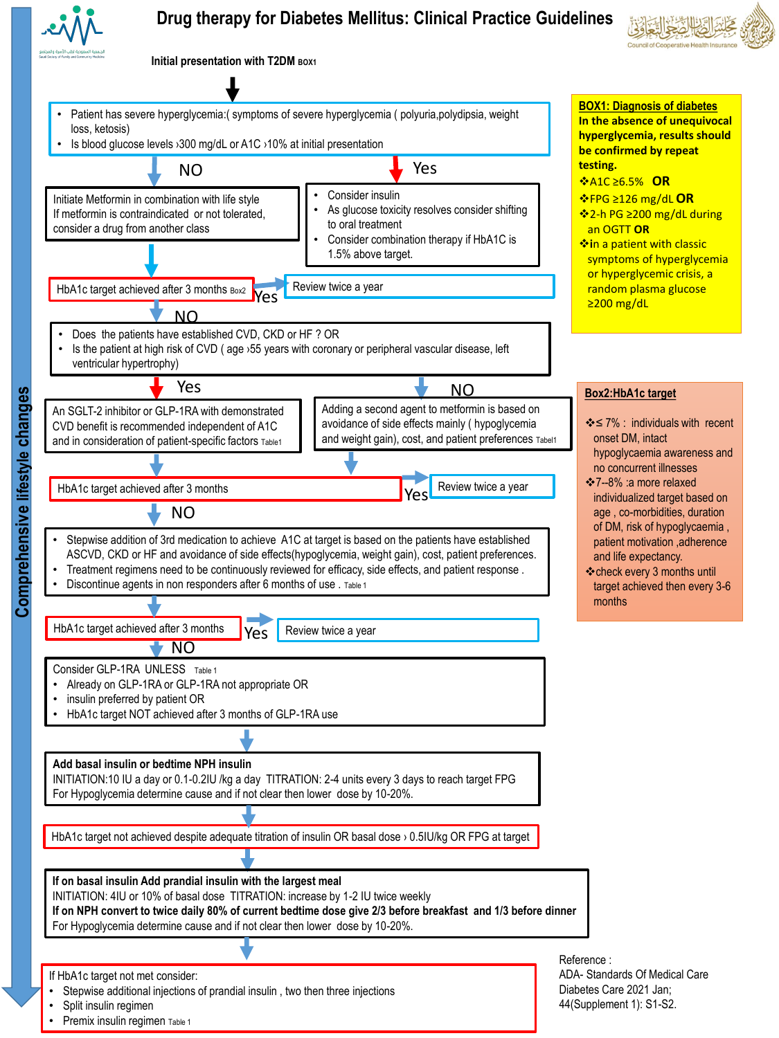

## **Drug therapy for Diabetes Mellitus: Clinical Practice Guidelines**



**Initial presentation with T2DM BOX1** 



Premix insulin regimen Table 1